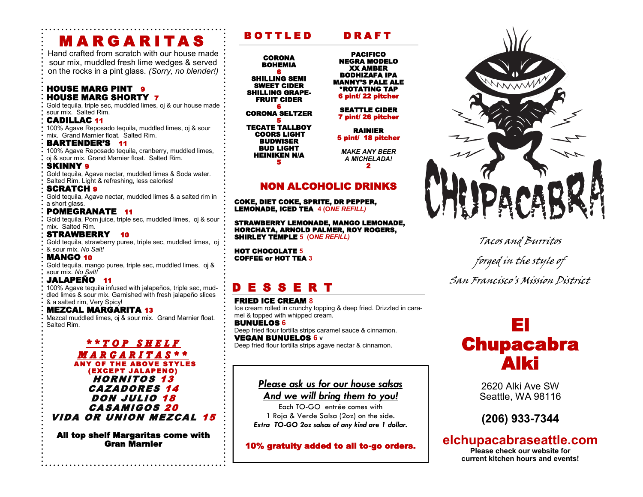# M A R G A R I T A S

Hand crafted from scratch with our house made sour mix, muddled fresh lime wedges & served on the rocks in a pint glass. *(Sorry, no blender!)*

## **HOUSE MARG PINT 9** HOUSE MARG SHORTY 7

Gold tequila, triple sec, muddled limes, oj & our house made sour mix. Salted Rim.

## CADILLAC 11

100% Agave Reposado tequila, muddled limes, oj & sour mix. Grand Marnier float. Salted Rim.

### BARTENDER'S 11

100% Agave Reposado tequila, cranberry, muddled limes, oj & sour mix. Grand Marnier float. Salted Rim.

SKINNY 9 Gold tequila, Agave nectar, muddled limes & Soda water. Salted Rim. Light & refreshing, less calories!

## **SCRATCH 9**

Gold tequila, Agave nectar, muddled limes & a salted rim in a short glass.

# POMEGRANATE 11

Gold tequila, Pom juice, triple sec, muddled limes, oj & sour mix. Salted Rim.

# STRAWBERRY 10

Gold tequila, strawberry puree, triple sec, muddled limes, oj & sour mix. *No Salt!*

#### MANGO 10

Gold tequila, mango puree, triple sec, muddled limes, oj & sour mix. *No Salt!*

# JALAPEÑO 11

100% Agave tequila infused with jalapeños, triple sec, muddled limes & sour mix. Garnished with fresh jalapeño slices & a salted rim, Very Spicy!

# MEZCAL MARGARITA 13

Mezcal muddled limes, oj & sour mix. Grand Marnier float. Salted Rim.

#### *\* \* T O P S H E L F M A R G A R I T A S \* \** ANY OF THE ABOVE STYLES (EXCEPT JALAPENO) HORNITOS 13 CAZADORES 14 DON JULIO 18 CASAMIGOS 20 VIDA OR UNION MEZCAL 15

All top shelf Margaritas come with Gran Marnier

# BOTTLED DRAFT

**CORONA** BOHEMIA 6 SHILLING SEMI SWEET CIDER

SHILLING GRAPE-FRUIT CIDER 6

CORONA SELTZER 5

TECATE TALLBOY COORS LIGHT **BUDWISER** BUD LIGHT HEINIKEN N/A 5

PACIFICO NEGRA MODELO XX AMBER BODHIZAFA IPA MANNY'S PALE ALE \*ROTATING TAP 6 pint/ 22 pitcher

#### SEATTLE CIDER 7 pint/ 26 pitcher

RAINIER 5 pint/ 18 pitcher

*MAKE ANY BEER A MICHELADA!* 2

# NON ALCOHOLIC DRINKS

COKE, DIET COKE, SPRITE, DR PEPPER, LEMONADE, ICED TEA **4 (O***NE REFILL)*

STRAWBERRY LEMONADE, MANGO LEMONADE, HORCHATA, ARNOLD PALMER, ROY ROGERS, SHIRLEY TEMPLE **5 (O***NE REFILL)*

HOT CHOCOLATE **5** COFFEE or HOT TEA **3**

# D E S S E R T

FRIED ICE CREAM **8** Ice cream rolled in crunchy topping & deep fried. Drizzled in caramel & topped with whipped cream.

BUNUELOS **6** Deep fried flour tortilla strips caramel sauce & cinnamon. VEGAN BUNUELOS **6 <sup>V</sup>** Deep fried flour tortilla strips agave nectar & cinnamon.

# *Please ask us for our house salsas*

*And we will bring them to you!*

Each TO-GO entrée comes with 1 Roja & Verde Salsa (2oz) on the side. *Extra TO-GO 2oz salsas of any kind are 1 dollar.*

10% gratuity added to all to-go orders.



Tacos and Burritos forged in the style of San Francisco's Mission District

# El Chupacabra Alki

2620 Alki Ave SW Seattle, WA 98116

**(206) 933-7344** 

# **elchupacabraseattle.com**

**Please check our website for current kitchen hours and events!**